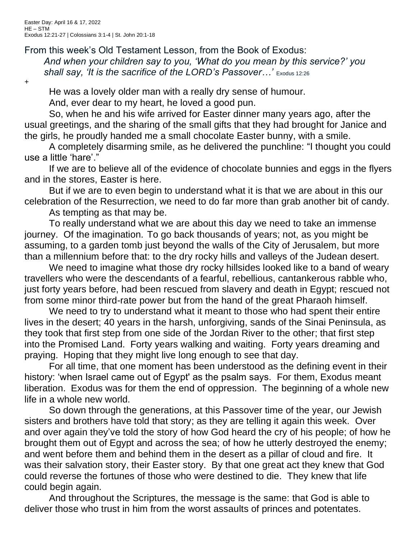## From this week's Old Testament Lesson, from the Book of Exodus:

*And when your children say to you, 'What do you mean by this service?' you shall say, 'It is the sacrifice of the LORD's Passover…'* Exodus 12:26

+

He was a lovely older man with a really dry sense of humour.

And, ever dear to my heart, he loved a good pun.

So, when he and his wife arrived for Easter dinner many years ago, after the usual greetings, and the sharing of the small gifts that they had brought for Janice and the girls, he proudly handed me a small chocolate Easter bunny, with a smile.

A completely disarming smile, as he delivered the punchline: "I thought you could use a little 'hare'."

If we are to believe all of the evidence of chocolate bunnies and eggs in the flyers and in the stores, Easter is here.

But if we are to even begin to understand what it is that we are about in this our celebration of the Resurrection, we need to do far more than grab another bit of candy.

As tempting as that may be.

To really understand what we are about this day we need to take an immense journey. Of the imagination. To go back thousands of years; not, as you might be assuming, to a garden tomb just beyond the walls of the City of Jerusalem, but more than a millennium before that: to the dry rocky hills and valleys of the Judean desert.

We need to imagine what those dry rocky hillsides looked like to a band of weary travellers who were the descendants of a fearful, rebellious, cantankerous rabble who, just forty years before, had been rescued from slavery and death in Egypt; rescued not from some minor third-rate power but from the hand of the great Pharaoh himself.

We need to try to understand what it meant to those who had spent their entire lives in the desert; 40 years in the harsh, unforgiving, sands of the Sinai Peninsula, as they took that first step from one side of the Jordan River to the other; that first step into the Promised Land. Forty years walking and waiting. Forty years dreaming and praying. Hoping that they might live long enough to see that day.

For all time, that one moment has been understood as the defining event in their history: 'when Israel came out of Egypt' as the psalm says. For them, Exodus meant liberation. Exodus was for them the end of oppression. The beginning of a whole new life in a whole new world.

So down through the generations, at this Passover time of the year, our Jewish sisters and brothers have told that story; as they are telling it again this week. Over and over again they've told the story of how God heard the cry of his people; of how he brought them out of Egypt and across the sea; of how he utterly destroyed the enemy; and went before them and behind them in the desert as a pillar of cloud and fire. It was their salvation story, their Easter story. By that one great act they knew that God could reverse the fortunes of those who were destined to die. They knew that life could begin again.

And throughout the Scriptures, the message is the same: that God is able to deliver those who trust in him from the worst assaults of princes and potentates.